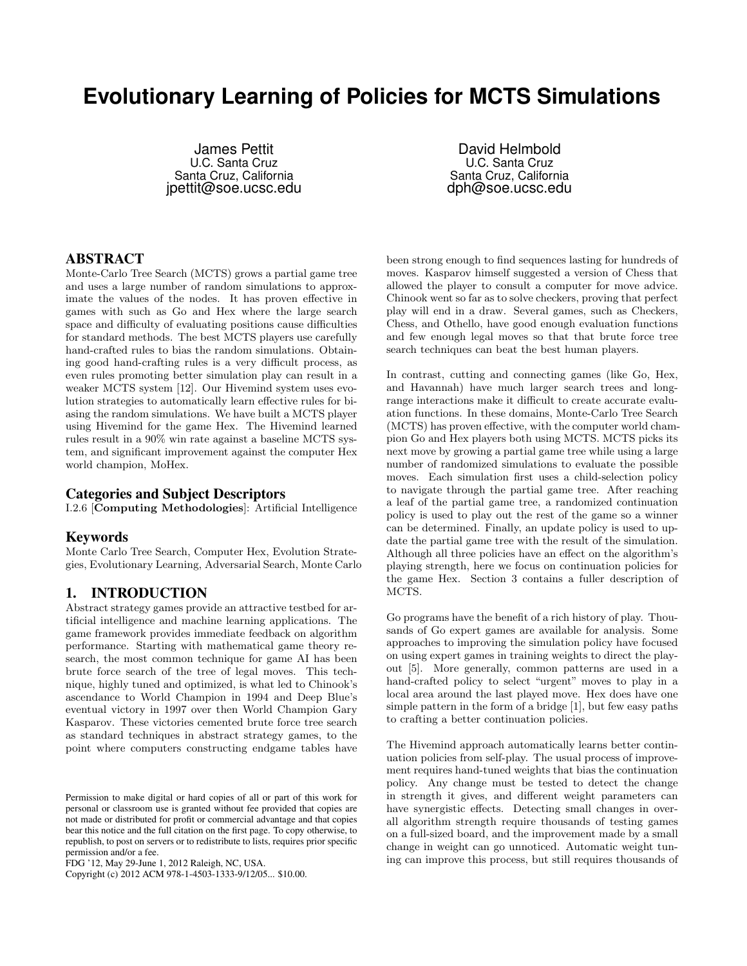# **Evolutionary Learning of Policies for MCTS Simulations**

James Pettit U.C. Santa Cruz Santa Cruz, California jpettit@soe.ucsc.edu

David Helmbold U.C. Santa Cruz Santa Cruz, California dph@soe.ucsc.edu

# ABSTRACT

Monte-Carlo Tree Search (MCTS) grows a partial game tree and uses a large number of random simulations to approximate the values of the nodes. It has proven effective in games with such as Go and Hex where the large search space and difficulty of evaluating positions cause difficulties for standard methods. The best MCTS players use carefully hand-crafted rules to bias the random simulations. Obtaining good hand-crafting rules is a very difficult process, as even rules promoting better simulation play can result in a weaker MCTS system [12]. Our Hivemind system uses evolution strategies to automatically learn effective rules for biasing the random simulations. We have built a MCTS player using Hivemind for the game Hex. The Hivemind learned rules result in a 90% win rate against a baseline MCTS system, and significant improvement against the computer Hex world champion, MoHex.

## Categories and Subject Descriptors

I.2.6 [Computing Methodologies]: Artificial Intelligence

## Keywords

Monte Carlo Tree Search, Computer Hex, Evolution Strategies, Evolutionary Learning, Adversarial Search, Monte Carlo

# 1. INTRODUCTION

Abstract strategy games provide an attractive testbed for artificial intelligence and machine learning applications. The game framework provides immediate feedback on algorithm performance. Starting with mathematical game theory research, the most common technique for game AI has been brute force search of the tree of legal moves. This technique, highly tuned and optimized, is what led to Chinook's ascendance to World Champion in 1994 and Deep Blue's eventual victory in 1997 over then World Champion Gary Kasparov. These victories cemented brute force tree search as standard techniques in abstract strategy games, to the point where computers constructing endgame tables have

Copyright (c) 2012 ACM 978-1-4503-1333-9/12/05... \$10.00.

been strong enough to find sequences lasting for hundreds of moves. Kasparov himself suggested a version of Chess that allowed the player to consult a computer for move advice. Chinook went so far as to solve checkers, proving that perfect play will end in a draw. Several games, such as Checkers, Chess, and Othello, have good enough evaluation functions and few enough legal moves so that that brute force tree search techniques can beat the best human players.

In contrast, cutting and connecting games (like Go, Hex, and Havannah) have much larger search trees and longrange interactions make it difficult to create accurate evaluation functions. In these domains, Monte-Carlo Tree Search (MCTS) has proven effective, with the computer world champion Go and Hex players both using MCTS. MCTS picks its next move by growing a partial game tree while using a large number of randomized simulations to evaluate the possible moves. Each simulation first uses a child-selection policy to navigate through the partial game tree. After reaching a leaf of the partial game tree, a randomized continuation policy is used to play out the rest of the game so a winner can be determined. Finally, an update policy is used to update the partial game tree with the result of the simulation. Although all three policies have an effect on the algorithm's playing strength, here we focus on continuation policies for the game Hex. Section 3 contains a fuller description of MCTS.

Go programs have the benefit of a rich history of play. Thousands of Go expert games are available for analysis. Some approaches to improving the simulation policy have focused on using expert games in training weights to direct the playout [5]. More generally, common patterns are used in a hand-crafted policy to select "urgent" moves to play in a local area around the last played move. Hex does have one simple pattern in the form of a bridge [1], but few easy paths to crafting a better continuation policies.

The Hivemind approach automatically learns better continuation policies from self-play. The usual process of improvement requires hand-tuned weights that bias the continuation policy. Any change must be tested to detect the change in strength it gives, and different weight parameters can have synergistic effects. Detecting small changes in overall algorithm strength require thousands of testing games on a full-sized board, and the improvement made by a small change in weight can go unnoticed. Automatic weight tuning can improve this process, but still requires thousands of

Permission to make digital or hard copies of all or part of this work for personal or classroom use is granted without fee provided that copies are not made or distributed for profit or commercial advantage and that copies bear this notice and the full citation on the first page. To copy otherwise, to republish, to post on servers or to redistribute to lists, requires prior specific permission and/or a fee.

FDG '12, May 29-June 1, 2012 Raleigh, NC, USA.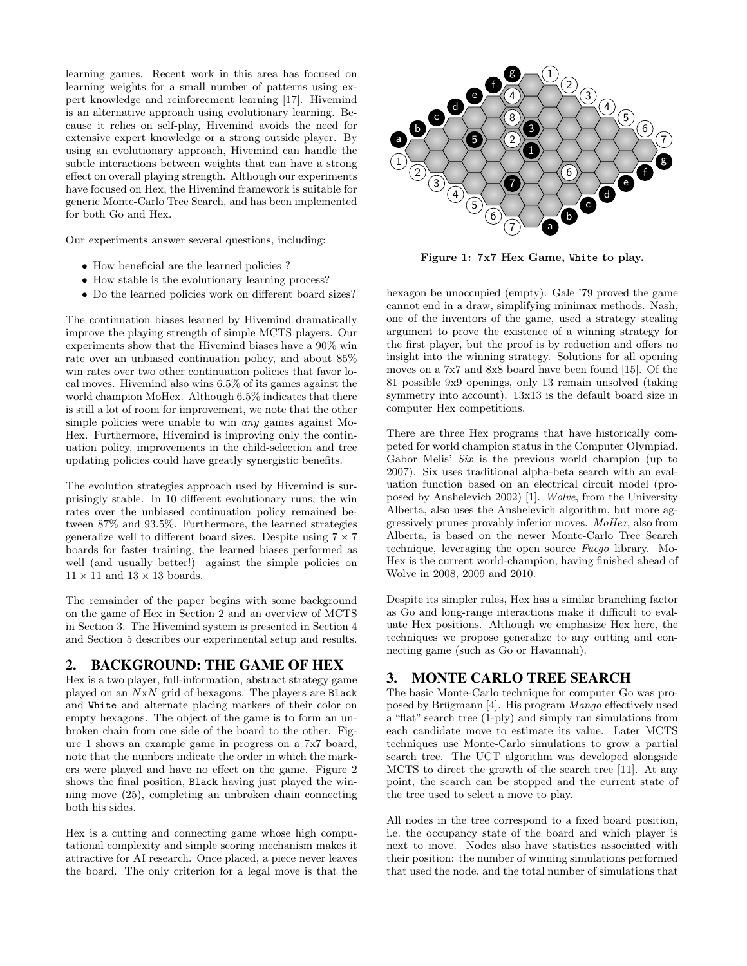learning games. Recent work in this area has focused on learning weights for a small number of patterns using expert knowledge and reinforcement learning [17]. Hivemind is an alternative approach using evolutionary learning. Because it relies on self-play, Hivemind avoids the need for extensive expert knowledge or a strong outside player. By using an evolutionary approach, Hivemind can handle the subtle interactions between weights that can have a strong effect on overall playing strength. Although our experiments have focused on Hex, the Hivemind framework is suitable for generic Monte-Carlo Tree Search, and has been implemented for both Go and Hex.

Our experiments answer several questions, including:

- How beneficial are the learned policies ?
- How stable is the evolutionary learning process?
- Do the learned policies work on different board sizes?

The continuation biases learned by Hivemind dramatically improve the playing strength of simple MCTS players. Our experiments show that the Hivemind biases have a 90% win rate over an unbiased continuation policy, and about 85% win rates over two other continuation policies that favor local moves. Hivemind also wins 6.5% of its games against the world champion MoHex. Although 6.5% indicates that there is still a lot of room for improvement, we note that the other simple policies were unable to win any games against Mo-Hex. Furthermore, Hivemind is improving only the continuation policy, improvements in the child-selection and tree updating policies could have greatly synergistic benefits.

The evolution strategies approach used by Hivemind is surprisingly stable. In 10 different evolutionary runs, the win rates over the unbiased continuation policy remained between 87% and 93.5%. Furthermore, the learned strategies generalize well to different board sizes. Despite using  $7 \times 7$ boards for faster training, the learned biases performed as well (and usually better!) against the simple policies on  $11 \times 11$  and  $13 \times 13$  boards.

The remainder of the paper begins with some background on the game of Hex in Section 2 and an overview of MCTS in Section 3. The Hivemind system is presented in Section 4 and Section 5 describes our experimental setup and results.

# 2. BACKGROUND: THE GAME OF HEX

Hex is a two player, full-information, abstract strategy game played on an NxN grid of hexagons. The players are Black and White and alternate placing markers of their color on empty hexagons. The object of the game is to form an unbroken chain from one side of the board to the other. Figure 1 shows an example game in progress on a 7x7 board, note that the numbers indicate the order in which the markers were played and have no effect on the game. Figure 2 shows the final position, Black having just played the winning move (25), completing an unbroken chain connecting both his sides.

Hex is a cutting and connecting game whose high computational complexity and simple scoring mechanism makes it attractive for AI research. Once placed, a piece never leaves the board. The only criterion for a legal move is that the



Figure 1: 7x7 Hex Game, White to play.

hexagon be unoccupied (empty). Gale '79 proved the game cannot end in a draw, simplifying minimax methods. Nash, one of the inventors of the game, used a strategy stealing argument to prove the existence of a winning strategy for the first player, but the proof is by reduction and offers no insight into the winning strategy. Solutions for all opening moves on a 7x7 and 8x8 board have been found [15]. Of the 81 possible 9x9 openings, only 13 remain unsolved (taking symmetry into account). 13x13 is the default board size in computer Hex competitions.

There are three Hex programs that have historically competed for world champion status in the Computer Olympiad. Gabor Melis' Six is the previous world champion (up to 2007). Six uses traditional alpha-beta search with an evaluation function based on an electrical circuit model (proposed by Anshelevich 2002) [1]. Wolve, from the University Alberta, also uses the Anshelevich algorithm, but more aggressively prunes provably inferior moves. MoHex, also from Alberta, is based on the newer Monte-Carlo Tree Search technique, leveraging the open source Fuego library. Mo-Hex is the current world-champion, having finished ahead of Wolve in 2008, 2009 and 2010.

Despite its simpler rules, Hex has a similar branching factor as Go and long-range interactions make it difficult to evaluate Hex positions. Although we emphasize Hex here, the techniques we propose generalize to any cutting and connecting game (such as Go or Havannah).

# 3. MONTE CARLO TREE SEARCH

The basic Monte-Carlo technique for computer Go was proposed by Brügmann  $[4]$ . His program Mango effectively used a "flat" search tree (1-ply) and simply ran simulations from each candidate move to estimate its value. Later MCTS techniques use Monte-Carlo simulations to grow a partial search tree. The UCT algorithm was developed alongside MCTS to direct the growth of the search tree [11]. At any point, the search can be stopped and the current state of the tree used to select a move to play.

All nodes in the tree correspond to a fixed board position, i.e. the occupancy state of the board and which player is next to move. Nodes also have statistics associated with their position: the number of winning simulations performed that used the node, and the total number of simulations that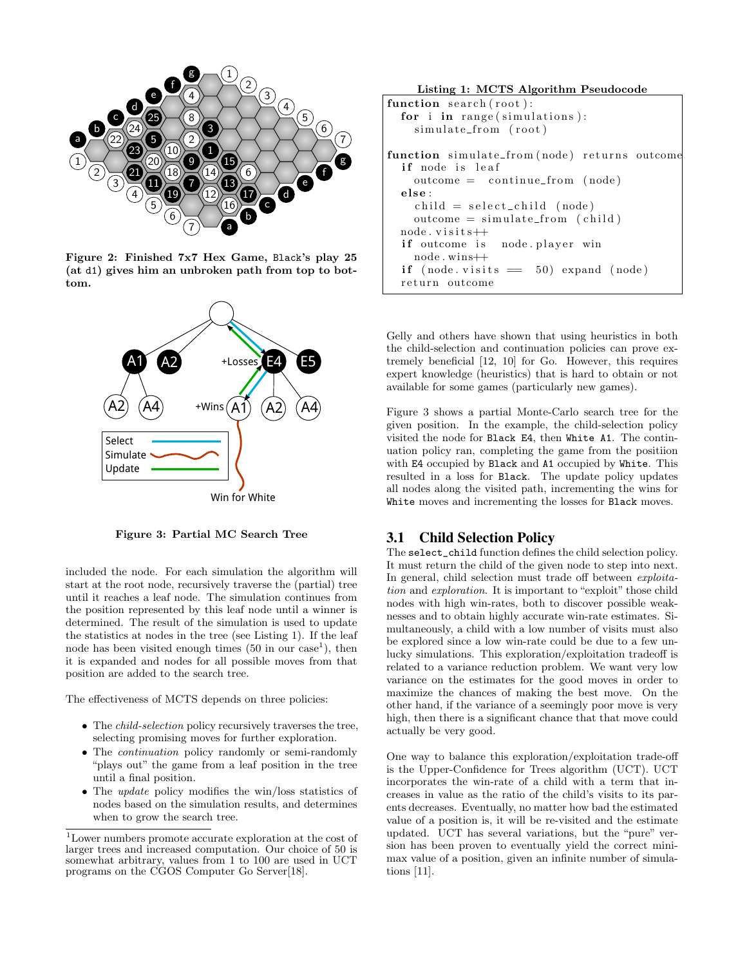

Figure 2: Finished 7x7 Hex Game, Black's play 25 (at d1) gives him an unbroken path from top to bottom.



Figure 3: Partial MC Search Tree

included the node. For each simulation the algorithm will start at the root node, recursively traverse the (partial) tree until it reaches a leaf node. The simulation continues from the position represented by this leaf node until a winner is determined. The result of the simulation is used to update the statistics at nodes in the tree (see Listing 1). If the leaf node has been visited enough times  $(50 \text{ in our case}^1)$ , then it is expanded and nodes for all possible moves from that position are added to the search tree.

The effectiveness of MCTS depends on three policies:

- The child-selection policy recursively traverses the tree, selecting promising moves for further exploration.
- The *continuation* policy randomly or semi-randomly "plays out" the game from a leaf position in the tree until a final position.
- The *update* policy modifies the win/loss statistics of nodes based on the simulation results, and determines when to grow the search tree.

Listing 1: MCTS Algorithm Pseudocode function  $search(root)$ : for i in range  $(\text{simulations})$ :  $sim$ ulate\_from (root) function simulate\_from (node) returns outcome if node is leaf  $outcome = continue\_from (node)$ else :  $child = select\_child \pmod{p}$  $outcome = simulate\_from (child)$  $node \cdot visits++$ if outcome is node. player win node . wins++ if  $(node. visits == 50) expand (node)$ return outcome

Gelly and others have shown that using heuristics in both the child-selection and continuation policies can prove extremely beneficial [12, 10] for Go. However, this requires expert knowledge (heuristics) that is hard to obtain or not available for some games (particularly new games).

Figure 3 shows a partial Monte-Carlo search tree for the given position. In the example, the child-selection policy visited the node for Black E4, then White A1. The continuation policy ran, completing the game from the positiion with E4 occupied by Black and A1 occupied by White. This resulted in a loss for Black. The update policy updates all nodes along the visited path, incrementing the wins for White moves and incrementing the losses for Black moves.

## 3.1 Child Selection Policy

The select\_child function defines the child selection policy. It must return the child of the given node to step into next. In general, child selection must trade off between exploitation and exploration. It is important to "exploit" those child nodes with high win-rates, both to discover possible weaknesses and to obtain highly accurate win-rate estimates. Simultaneously, a child with a low number of visits must also be explored since a low win-rate could be due to a few unlucky simulations. This exploration/exploitation tradeoff is related to a variance reduction problem. We want very low variance on the estimates for the good moves in order to maximize the chances of making the best move. On the other hand, if the variance of a seemingly poor move is very high, then there is a significant chance that that move could actually be very good.

One way to balance this exploration/exploitation trade-off is the Upper-Confidence for Trees algorithm (UCT). UCT incorporates the win-rate of a child with a term that increases in value as the ratio of the child's visits to its parents decreases. Eventually, no matter how bad the estimated value of a position is, it will be re-visited and the estimate updated. UCT has several variations, but the "pure" version has been proven to eventually yield the correct minimax value of a position, given an infinite number of simulations [11].

<sup>1</sup>Lower numbers promote accurate exploration at the cost of larger trees and increased computation. Our choice of 50 is somewhat arbitrary, values from 1 to 100 are used in UCT programs on the CGOS Computer Go Server[18].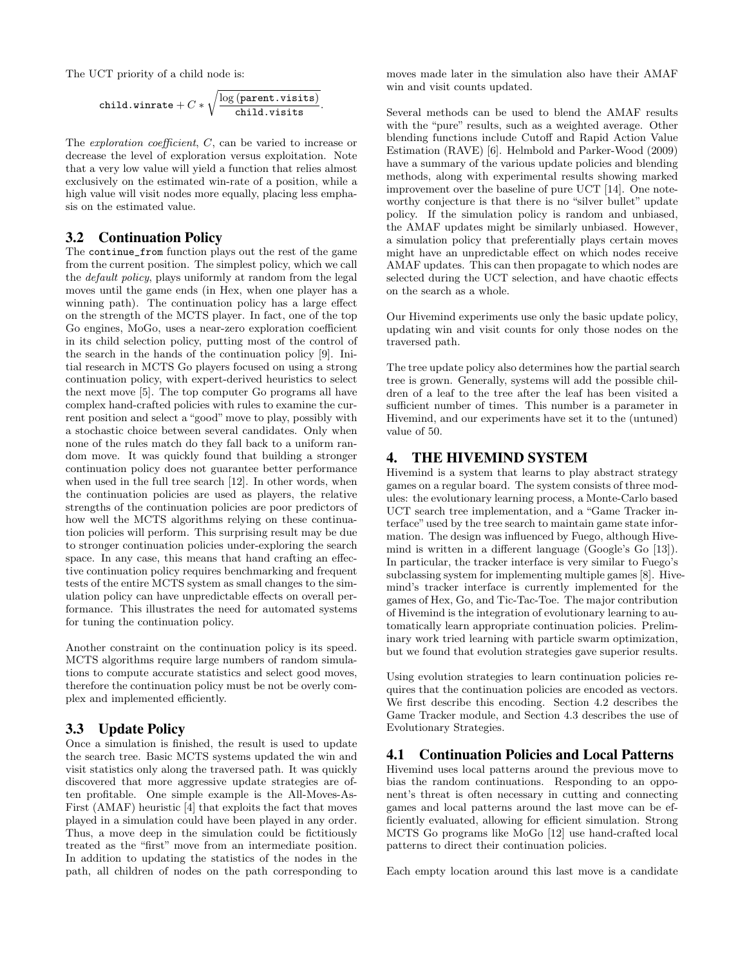The UCT priority of a child node is:

$$
\texttt{child}.\mathtt{winnerate} + C * \sqrt{\frac{\log\left(\texttt{parent}.\texttt{visits}\right)}{\texttt{child}.\texttt{visits}}}.
$$

The *exploration coefficient*, C, can be varied to increase or decrease the level of exploration versus exploitation. Note that a very low value will yield a function that relies almost exclusively on the estimated win-rate of a position, while a high value will visit nodes more equally, placing less emphasis on the estimated value.

#### 3.2 Continuation Policy

The continue\_from function plays out the rest of the game from the current position. The simplest policy, which we call the default policy, plays uniformly at random from the legal moves until the game ends (in Hex, when one player has a winning path). The continuation policy has a large effect on the strength of the MCTS player. In fact, one of the top Go engines, MoGo, uses a near-zero exploration coefficient in its child selection policy, putting most of the control of the search in the hands of the continuation policy [9]. Initial research in MCTS Go players focused on using a strong continuation policy, with expert-derived heuristics to select the next move [5]. The top computer Go programs all have complex hand-crafted policies with rules to examine the current position and select a "good" move to play, possibly with a stochastic choice between several candidates. Only when none of the rules match do they fall back to a uniform random move. It was quickly found that building a stronger continuation policy does not guarantee better performance when used in the full tree search [12]. In other words, when the continuation policies are used as players, the relative strengths of the continuation policies are poor predictors of how well the MCTS algorithms relying on these continuation policies will perform. This surprising result may be due to stronger continuation policies under-exploring the search space. In any case, this means that hand crafting an effective continuation policy requires benchmarking and frequent tests of the entire MCTS system as small changes to the simulation policy can have unpredictable effects on overall performance. This illustrates the need for automated systems for tuning the continuation policy.

Another constraint on the continuation policy is its speed. MCTS algorithms require large numbers of random simulations to compute accurate statistics and select good moves, therefore the continuation policy must be not be overly complex and implemented efficiently.

## 3.3 Update Policy

Once a simulation is finished, the result is used to update the search tree. Basic MCTS systems updated the win and visit statistics only along the traversed path. It was quickly discovered that more aggressive update strategies are often profitable. One simple example is the All-Moves-As-First (AMAF) heuristic [4] that exploits the fact that moves played in a simulation could have been played in any order. Thus, a move deep in the simulation could be fictitiously treated as the "first" move from an intermediate position. In addition to updating the statistics of the nodes in the path, all children of nodes on the path corresponding to moves made later in the simulation also have their AMAF win and visit counts updated.

Several methods can be used to blend the AMAF results with the "pure" results, such as a weighted average. Other blending functions include Cutoff and Rapid Action Value Estimation (RAVE) [6]. Helmbold and Parker-Wood (2009) have a summary of the various update policies and blending methods, along with experimental results showing marked improvement over the baseline of pure UCT [14]. One noteworthy conjecture is that there is no "silver bullet" update policy. If the simulation policy is random and unbiased, the AMAF updates might be similarly unbiased. However, a simulation policy that preferentially plays certain moves might have an unpredictable effect on which nodes receive AMAF updates. This can then propagate to which nodes are selected during the UCT selection, and have chaotic effects on the search as a whole.

Our Hivemind experiments use only the basic update policy, updating win and visit counts for only those nodes on the traversed path.

The tree update policy also determines how the partial search tree is grown. Generally, systems will add the possible children of a leaf to the tree after the leaf has been visited a sufficient number of times. This number is a parameter in Hivemind, and our experiments have set it to the (untuned) value of 50.

# 4. THE HIVEMIND SYSTEM

Hivemind is a system that learns to play abstract strategy games on a regular board. The system consists of three modules: the evolutionary learning process, a Monte-Carlo based UCT search tree implementation, and a "Game Tracker interface" used by the tree search to maintain game state information. The design was influenced by Fuego, although Hivemind is written in a different language (Google's Go [13]). In particular, the tracker interface is very similar to Fuego's subclassing system for implementing multiple games [8]. Hivemind's tracker interface is currently implemented for the games of Hex, Go, and Tic-Tac-Toe. The major contribution of Hivemind is the integration of evolutionary learning to automatically learn appropriate continuation policies. Preliminary work tried learning with particle swarm optimization, but we found that evolution strategies gave superior results.

Using evolution strategies to learn continuation policies requires that the continuation policies are encoded as vectors. We first describe this encoding. Section 4.2 describes the Game Tracker module, and Section 4.3 describes the use of Evolutionary Strategies.

# 4.1 Continuation Policies and Local Patterns

Hivemind uses local patterns around the previous move to bias the random continuations. Responding to an opponent's threat is often necessary in cutting and connecting games and local patterns around the last move can be efficiently evaluated, allowing for efficient simulation. Strong MCTS Go programs like MoGo [12] use hand-crafted local patterns to direct their continuation policies.

Each empty location around this last move is a candidate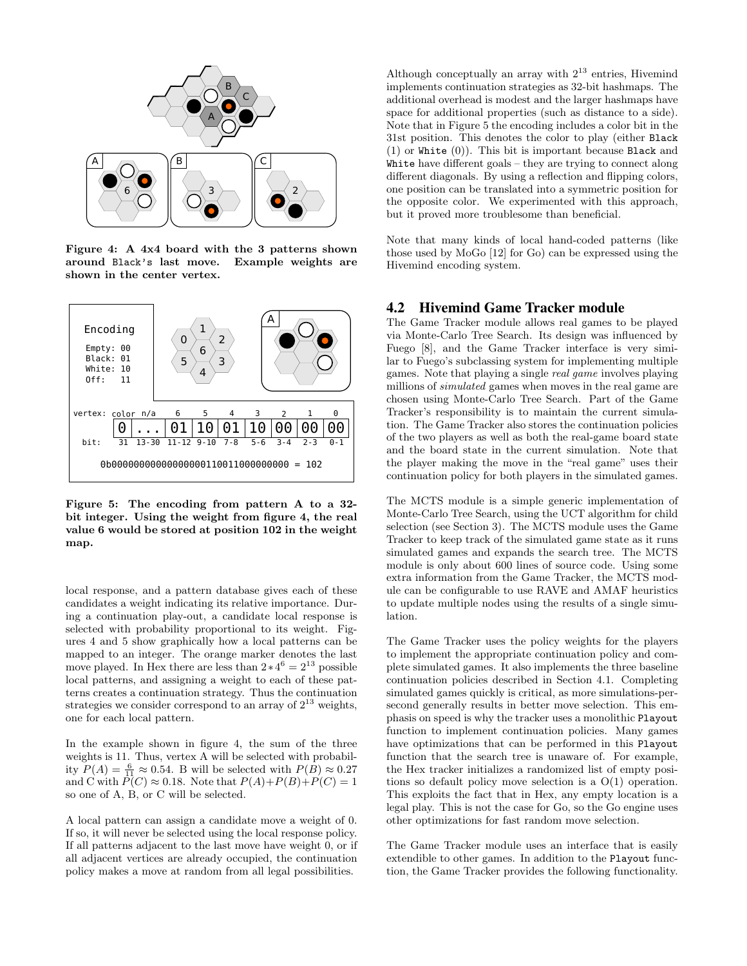

Figure 4: A 4x4 board with the 3 patterns shown<br>around Black's last move. Example weights are around Black's last move. shown in the center vertex.



Figure 5: The encoding from pattern A to a 32 bit integer. Using the weight from figure 4, the real value 6 would be stored at position 102 in the weight map.

local response, and a pattern database gives each of these candidates a weight indicating its relative importance. During a continuation play-out, a candidate local response is selected with probability proportional to its weight. Figures 4 and 5 show graphically how a local patterns can be mapped to an integer. The orange marker denotes the last move played. In Hex there are less than  $2 \times 4^6 = 2^{13}$  possible local patterns, and assigning a weight to each of these patterns creates a continuation strategy. Thus the continuation strategies we consider correspond to an array of  $2^{13}$  weights, one for each local pattern.

In the example shown in figure 4, the sum of the three weights is 11. Thus, vertex A will be selected with probability  $P(A) = \frac{6}{11} \approx 0.54$ . B will be selected with  $P(B) \approx 0.27$ and C with  $\overline{P}(C) \approx 0.18$ . Note that  $P(A) + P(B) + P(C) = 1$ so one of A, B, or C will be selected.

A local pattern can assign a candidate move a weight of 0. If so, it will never be selected using the local response policy. If all patterns adjacent to the last move have weight 0, or if all adjacent vertices are already occupied, the continuation policy makes a move at random from all legal possibilities.

Although conceptually an array with  $2^{13}$  entries, Hivemind implements continuation strategies as 32-bit hashmaps. The additional overhead is modest and the larger hashmaps have space for additional properties (such as distance to a side). Note that in Figure 5 the encoding includes a color bit in the 31st position. This denotes the color to play (either Black (1) or White (0)). This bit is important because Black and White have different goals – they are trying to connect along different diagonals. By using a reflection and flipping colors, one position can be translated into a symmetric position for the opposite color. We experimented with this approach, but it proved more troublesome than beneficial.

Note that many kinds of local hand-coded patterns (like those used by MoGo [12] for Go) can be expressed using the Hivemind encoding system.

## 4.2 Hivemind Game Tracker module

The Game Tracker module allows real games to be played via Monte-Carlo Tree Search. Its design was influenced by Fuego [8], and the Game Tracker interface is very similar to Fuego's subclassing system for implementing multiple games. Note that playing a single real game involves playing millions of simulated games when moves in the real game are chosen using Monte-Carlo Tree Search. Part of the Game Tracker's responsibility is to maintain the current simulation. The Game Tracker also stores the continuation policies of the two players as well as both the real-game board state and the board state in the current simulation. Note that the player making the move in the "real game" uses their continuation policy for both players in the simulated games.

The MCTS module is a simple generic implementation of Monte-Carlo Tree Search, using the UCT algorithm for child selection (see Section 3). The MCTS module uses the Game Tracker to keep track of the simulated game state as it runs simulated games and expands the search tree. The MCTS module is only about 600 lines of source code. Using some extra information from the Game Tracker, the MCTS module can be configurable to use RAVE and AMAF heuristics to update multiple nodes using the results of a single simulation.

The Game Tracker uses the policy weights for the players to implement the appropriate continuation policy and complete simulated games. It also implements the three baseline continuation policies described in Section 4.1. Completing simulated games quickly is critical, as more simulations-persecond generally results in better move selection. This emphasis on speed is why the tracker uses a monolithic Playout function to implement continuation policies. Many games have optimizations that can be performed in this Playout function that the search tree is unaware of. For example, the Hex tracker initializes a randomized list of empty positions so default policy move selection is a O(1) operation. This exploits the fact that in Hex, any empty location is a legal play. This is not the case for Go, so the Go engine uses other optimizations for fast random move selection.

The Game Tracker module uses an interface that is easily extendible to other games. In addition to the Playout function, the Game Tracker provides the following functionality.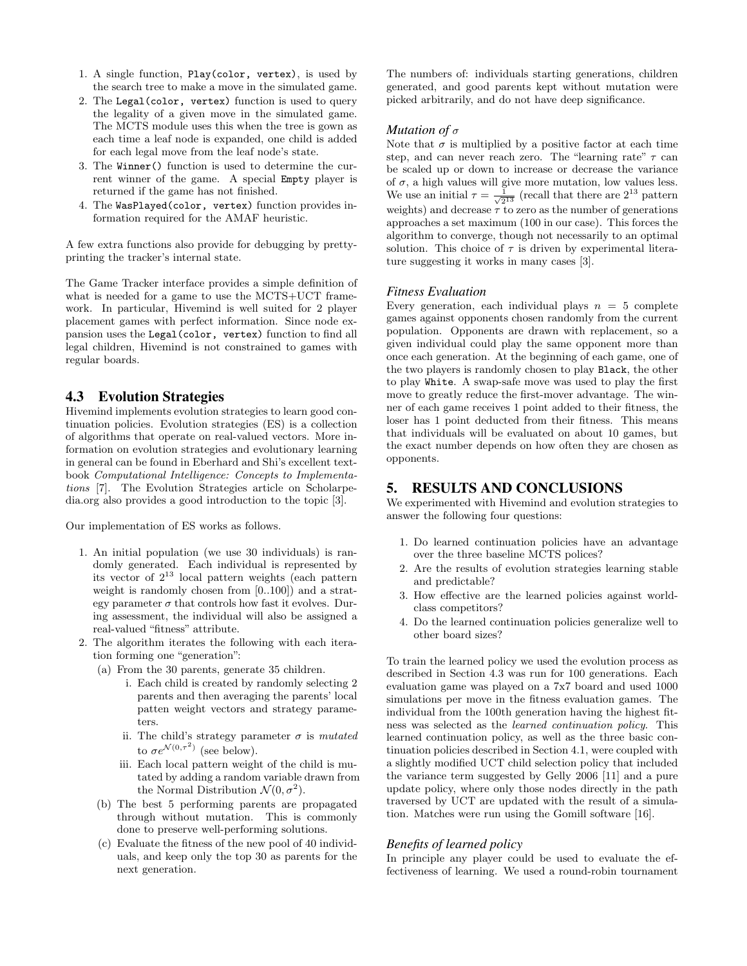- 1. A single function, Play(color, vertex), is used by the search tree to make a move in the simulated game.
- 2. The Legal(color, vertex) function is used to query the legality of a given move in the simulated game. The MCTS module uses this when the tree is gown as each time a leaf node is expanded, one child is added for each legal move from the leaf node's state.
- 3. The Winner() function is used to determine the current winner of the game. A special Empty player is returned if the game has not finished.
- 4. The WasPlayed(color, vertex) function provides information required for the AMAF heuristic.

A few extra functions also provide for debugging by prettyprinting the tracker's internal state.

The Game Tracker interface provides a simple definition of what is needed for a game to use the MCTS+UCT framework. In particular, Hivemind is well suited for 2 player placement games with perfect information. Since node expansion uses the Legal(color, vertex) function to find all legal children, Hivemind is not constrained to games with regular boards.

# 4.3 Evolution Strategies

Hivemind implements evolution strategies to learn good continuation policies. Evolution strategies (ES) is a collection of algorithms that operate on real-valued vectors. More information on evolution strategies and evolutionary learning in general can be found in Eberhard and Shi's excellent textbook Computational Intelligence: Concepts to Implementations [7]. The Evolution Strategies article on Scholarpedia.org also provides a good introduction to the topic [3].

Our implementation of ES works as follows.

- 1. An initial population (we use 30 individuals) is randomly generated. Each individual is represented by its vector of  $2^{13}$  local pattern weights (each pattern weight is randomly chosen from [0..100]) and a strategy parameter  $\sigma$  that controls how fast it evolves. During assessment, the individual will also be assigned a real-valued "fitness" attribute.
- 2. The algorithm iterates the following with each iteration forming one "generation":
	- (a) From the 30 parents, generate 35 children.
		- i. Each child is created by randomly selecting 2 parents and then averaging the parents' local patten weight vectors and strategy parameters.
		- ii. The child's strategy parameter  $\sigma$  is *mutated* to  $\sigma e^{\mathcal{N}(0,\tau^2)}$  (see below).
		- iii. Each local pattern weight of the child is mutated by adding a random variable drawn from the Normal Distribution  $\mathcal{N}(0, \sigma^2)$ .
	- (b) The best 5 performing parents are propagated through without mutation. This is commonly done to preserve well-performing solutions.
	- (c) Evaluate the fitness of the new pool of 40 individuals, and keep only the top 30 as parents for the next generation.

The numbers of: individuals starting generations, children generated, and good parents kept without mutation were picked arbitrarily, and do not have deep significance.

#### *Mutation of* σ

Note that  $\sigma$  is multiplied by a positive factor at each time step, and can never reach zero. The "learning rate"  $\tau$  can be scaled up or down to increase or decrease the variance of  $\sigma$ , a high values will give more mutation, low values less. We use an initial  $\tau = \frac{1}{\sqrt{2^{13}}}$  (recall that there are  $2^{13}$  pattern weights) and decrease  $\tau$  to zero as the number of generations approaches a set maximum (100 in our case). This forces the algorithm to converge, though not necessarily to an optimal solution. This choice of  $\tau$  is driven by experimental literature suggesting it works in many cases [3].

#### *Fitness Evaluation*

Every generation, each individual plays  $n = 5$  complete games against opponents chosen randomly from the current population. Opponents are drawn with replacement, so a given individual could play the same opponent more than once each generation. At the beginning of each game, one of the two players is randomly chosen to play Black, the other to play White. A swap-safe move was used to play the first move to greatly reduce the first-mover advantage. The winner of each game receives 1 point added to their fitness, the loser has 1 point deducted from their fitness. This means that individuals will be evaluated on about 10 games, but the exact number depends on how often they are chosen as opponents.

# 5. RESULTS AND CONCLUSIONS

We experimented with Hivemind and evolution strategies to answer the following four questions:

- 1. Do learned continuation policies have an advantage over the three baseline MCTS polices?
- 2. Are the results of evolution strategies learning stable and predictable?
- 3. How effective are the learned policies against worldclass competitors?
- 4. Do the learned continuation policies generalize well to other board sizes?

To train the learned policy we used the evolution process as described in Section 4.3 was run for 100 generations. Each evaluation game was played on a 7x7 board and used 1000 simulations per move in the fitness evaluation games. The individual from the 100th generation having the highest fitness was selected as the learned continuation policy. This learned continuation policy, as well as the three basic continuation policies described in Section 4.1, were coupled with a slightly modified UCT child selection policy that included the variance term suggested by Gelly 2006 [11] and a pure update policy, where only those nodes directly in the path traversed by UCT are updated with the result of a simulation. Matches were run using the Gomill software [16].

#### *Benefits of learned policy*

In principle any player could be used to evaluate the effectiveness of learning. We used a round-robin tournament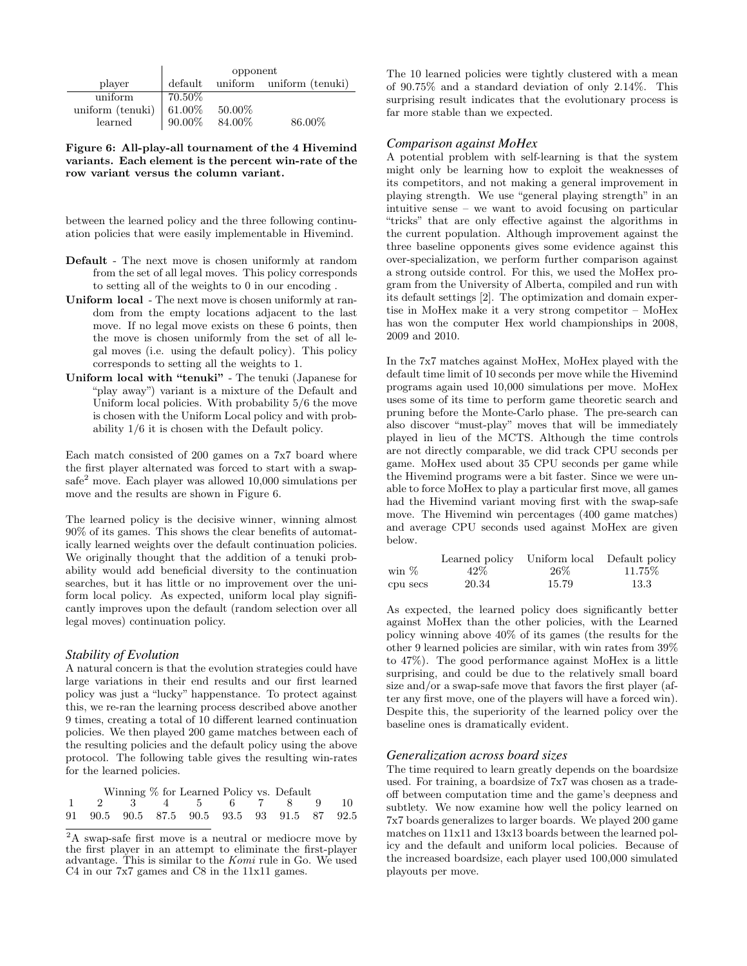|                              | opponent      |           |                          |  |
|------------------------------|---------------|-----------|--------------------------|--|
| player                       | default       |           | uniform uniform (tenuki) |  |
| uniform                      | 70.50%        |           |                          |  |
| uniform (tenuki)   $61.00\%$ |               | $50.00\%$ |                          |  |
| learned                      | 90.00% 84.00% |           | 86.00%                   |  |

Figure 6: All-play-all tournament of the 4 Hivemind variants. Each element is the percent win-rate of the row variant versus the column variant.

between the learned policy and the three following continuation policies that were easily implementable in Hivemind.

- Default The next move is chosen uniformly at random from the set of all legal moves. This policy corresponds to setting all of the weights to 0 in our encoding .
- Uniform local The next move is chosen uniformly at random from the empty locations adjacent to the last move. If no legal move exists on these 6 points, then the move is chosen uniformly from the set of all legal moves (i.e. using the default policy). This policy corresponds to setting all the weights to 1.
- Uniform local with "tenuki" The tenuki (Japanese for "play away") variant is a mixture of the Default and Uniform local policies. With probability 5/6 the move is chosen with the Uniform Local policy and with probability 1/6 it is chosen with the Default policy.

Each match consisted of 200 games on a 7x7 board where the first player alternated was forced to start with a swap- $\text{safe}^2$  move. Each player was allowed 10,000 simulations per move and the results are shown in Figure 6.

The learned policy is the decisive winner, winning almost 90% of its games. This shows the clear benefits of automatically learned weights over the default continuation policies. We originally thought that the addition of a tenuki probability would add beneficial diversity to the continuation searches, but it has little or no improvement over the uniform local policy. As expected, uniform local play significantly improves upon the default (random selection over all legal moves) continuation policy.

#### *Stability of Evolution*

A natural concern is that the evolution strategies could have large variations in their end results and our first learned policy was just a "lucky" happenstance. To protect against this, we re-ran the learning process described above another 9 times, creating a total of 10 different learned continuation policies. We then played 200 game matches between each of the resulting policies and the default policy using the above protocol. The following table gives the resulting win-rates for the learned policies.

|  |  | Winning % for Learned Policy vs. Default    |  |  |  |
|--|--|---------------------------------------------|--|--|--|
|  |  | 1 2 3 4 5 6 7 8 9 10                        |  |  |  |
|  |  | 91 90.5 90.5 87.5 90.5 93.5 93 91.5 87 92.5 |  |  |  |

<sup>2</sup>A swap-safe first move is a neutral or mediocre move by the first player in an attempt to eliminate the first-player advantage. This is similar to the  $Komi$  rule in Go. We used C4 in our 7x7 games and C8 in the 11x11 games.

The 10 learned policies were tightly clustered with a mean of 90.75% and a standard deviation of only 2.14%. This surprising result indicates that the evolutionary process is far more stable than we expected.

#### *Comparison against MoHex*

A potential problem with self-learning is that the system might only be learning how to exploit the weaknesses of its competitors, and not making a general improvement in playing strength. We use "general playing strength" in an intuitive sense – we want to avoid focusing on particular "tricks" that are only effective against the algorithms in the current population. Although improvement against the three baseline opponents gives some evidence against this over-specialization, we perform further comparison against a strong outside control. For this, we used the MoHex program from the University of Alberta, compiled and run with its default settings [2]. The optimization and domain expertise in MoHex make it a very strong competitor – MoHex has won the computer Hex world championships in 2008, 2009 and 2010.

In the 7x7 matches against MoHex, MoHex played with the default time limit of 10 seconds per move while the Hivemind programs again used 10,000 simulations per move. MoHex uses some of its time to perform game theoretic search and pruning before the Monte-Carlo phase. The pre-search can also discover "must-play" moves that will be immediately played in lieu of the MCTS. Although the time controls are not directly comparable, we did track CPU seconds per game. MoHex used about 35 CPU seconds per game while the Hivemind programs were a bit faster. Since we were unable to force MoHex to play a particular first move, all games had the Hivemind variant moving first with the swap-safe move. The Hivemind win percentages (400 game matches) and average CPU seconds used against MoHex are given below.

|          | Learned policy |       | Uniform local Default policy |
|----------|----------------|-------|------------------------------|
| win %    | 42\%           | -26%  | 11.75%                       |
| cpu secs | 20.34          | 15.79 | 13.3                         |

As expected, the learned policy does significantly better against MoHex than the other policies, with the Learned policy winning above 40% of its games (the results for the other 9 learned policies are similar, with win rates from 39% to 47%). The good performance against MoHex is a little surprising, and could be due to the relatively small board size and/or a swap-safe move that favors the first player (after any first move, one of the players will have a forced win). Despite this, the superiority of the learned policy over the baseline ones is dramatically evident.

#### *Generalization across board sizes*

The time required to learn greatly depends on the boardsize used. For training, a boardsize of 7x7 was chosen as a tradeoff between computation time and the game's deepness and subtlety. We now examine how well the policy learned on 7x7 boards generalizes to larger boards. We played 200 game matches on 11x11 and 13x13 boards between the learned policy and the default and uniform local policies. Because of the increased boardsize, each player used 100,000 simulated playouts per move.